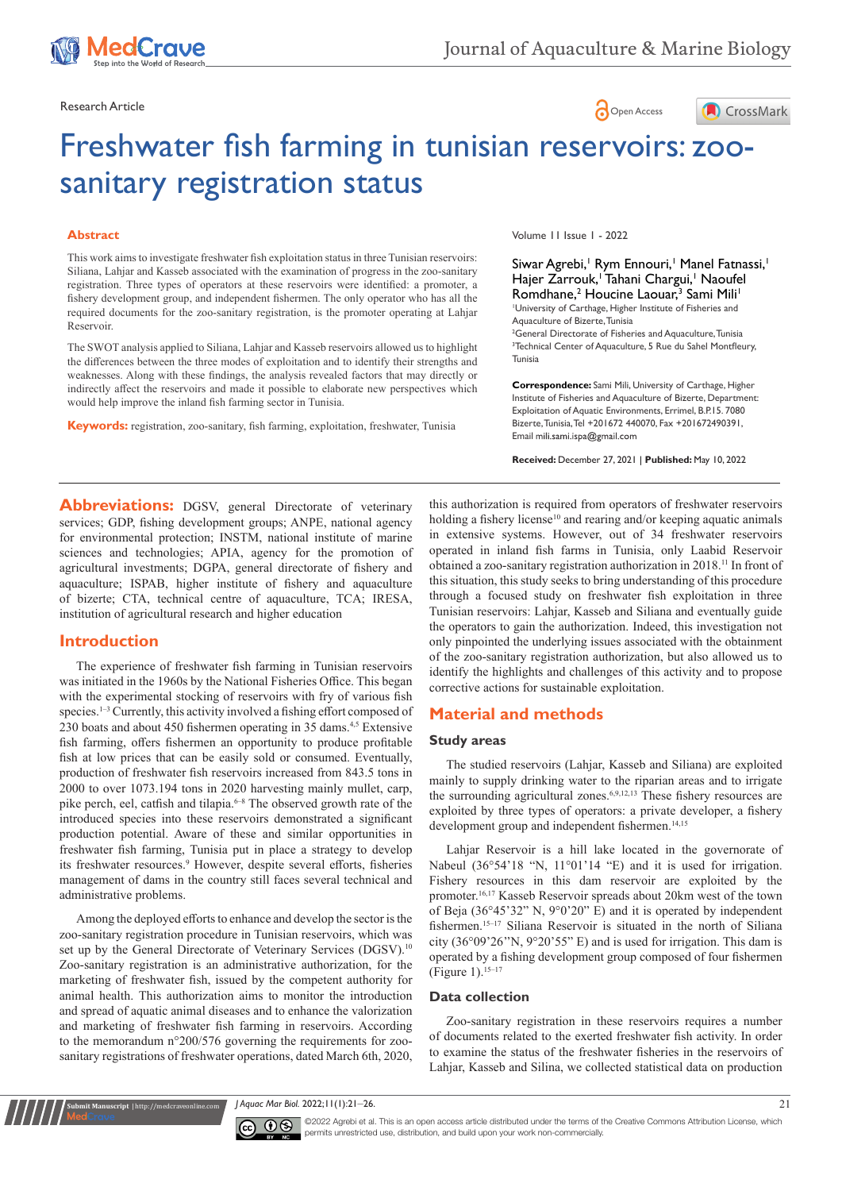





# Freshwater fish farming in tunisian reservoirs: zoosanitary registration status

#### **Abstract**

This work aims to investigate freshwater fish exploitation status in three Tunisian reservoirs: Siliana, Lahjar and Kasseb associated with the examination of progress in the zoo-sanitary registration. Three types of operators at these reservoirs were identified: a promoter, a fishery development group, and independent fishermen. The only operator who has all the required documents for the zoo-sanitary registration, is the promoter operating at Lahjar Reservoir.

The SWOT analysis applied to Siliana, Lahjar and Kasseb reservoirs allowed us to highlight the differences between the three modes of exploitation and to identify their strengths and weaknesses. Along with these findings, the analysis revealed factors that may directly or indirectly affect the reservoirs and made it possible to elaborate new perspectives which would help improve the inland fish farming sector in Tunisia.

**Keywords:** registration, zoo-sanitary, fish farming, exploitation, freshwater, Tunisia

Volume 11 Issue 1 - 2022

Siwar Agrebi,<sup>1</sup> Rym Ennouri,<sup>1</sup> Manel Fatnassi,<sup>1</sup> Hajer Zarrouk,<sup>1</sup> Tahani Chargui,<sup>1</sup> Naoufel Romdhane,<sup>2</sup> Houcine Laouar,<sup>3</sup> Sami Mili<sup>1</sup> 1 University of Carthage, Higher Institute of Fisheries and Aquaculture of Bizerte, Tunisia

2 General Directorate of Fisheries and Aquaculture, Tunisia <sup>3</sup>Technical Center of Aquaculture, 5 Rue du Sahel Montfleury, **Tunisia** 

**Correspondence:** Sami Mili, University of Carthage, Higher Institute of Fisheries and Aquaculture of Bizerte, Department: Exploitation of Aquatic Environments, Errimel, B.P.15. 7080 Bizerte, Tunisia, Tel +201672 440070, Fax +201672490391, Email mili.sami.ispa@gmail.com

**Received:** December 27, 2021 | **Published:** May 10, 2022

**Abbreviations:** DGSV, general Directorate of veterinary services; GDP, fishing development groups; ANPE, national agency for environmental protection; INSTM, national institute of marine sciences and technologies; APIA, agency for the promotion of agricultural investments; DGPA, general directorate of fishery and aquaculture; ISPAB, higher institute of fishery and aquaculture of bizerte; CTA, technical centre of aquaculture, TCA; IRESA, institution of agricultural research and higher education

# **Introduction**

The experience of freshwater fish farming in Tunisian reservoirs was initiated in the 1960s by the National Fisheries Office. This began with the experimental stocking of reservoirs with fry of various fish species.<sup>1-3</sup> Currently, this activity involved a fishing effort composed of 230 boats and about 450 fishermen operating in 35 dams.<sup>4,5</sup> Extensive fish farming, offers fishermen an opportunity to produce profitable fish at low prices that can be easily sold or consumed. Eventually, production of freshwater fish reservoirs increased from 843.5 tons in 2000 to over 1073.194 tons in 2020 harvesting mainly mullet, carp, pike perch, eel, catfish and tilapia.6–8 The observed growth rate of the introduced species into these reservoirs demonstrated a significant production potential. Aware of these and similar opportunities in freshwater fish farming, Tunisia put in place a strategy to develop its freshwater resources.<sup>9</sup> However, despite several efforts, fisheries management of dams in the country still faces several technical and administrative problems.

Among the deployed efforts to enhance and develop the sector is the zoo-sanitary registration procedure in Tunisian reservoirs, which was set up by the General Directorate of Veterinary Services (DGSV).<sup>10</sup> Zoo-sanitary registration is an administrative authorization, for the marketing of freshwater fish, issued by the competent authority for animal health. This authorization aims to monitor the introduction and spread of aquatic animal diseases and to enhance the valorization and marketing of freshwater fish farming in reservoirs. According to the memorandum n°200/576 governing the requirements for zoosanitary registrations of freshwater operations, dated March 6th, 2020,

**it Manuscript** | http://medcraveonline.c

this authorization is required from operators of freshwater reservoirs holding a fishery license<sup>10</sup> and rearing and/or keeping aquatic animals in extensive systems. However, out of 34 freshwater reservoirs operated in inland fish farms in Tunisia, only Laabid Reservoir obtained a zoo-sanitary registration authorization in 2018.11 In front of this situation, this study seeks to bring understanding of this procedure through a focused study on freshwater fish exploitation in three Tunisian reservoirs: Lahjar, Kasseb and Siliana and eventually guide the operators to gain the authorization. Indeed, this investigation not only pinpointed the underlying issues associated with the obtainment of the zoo-sanitary registration authorization, but also allowed us to identify the highlights and challenges of this activity and to propose corrective actions for sustainable exploitation.

# **Material and methods**

#### **Study areas**

The studied reservoirs (Lahjar, Kasseb and Siliana) are exploited mainly to supply drinking water to the riparian areas and to irrigate the surrounding agricultural zones.<sup>6,9,12,13</sup> These fishery resources are exploited by three types of operators: a private developer, a fishery development group and independent fishermen.<sup>14,15</sup>

Lahjar Reservoir is a hill lake located in the governorate of Nabeul (36°54'18 "N, 11°01'14 "E) and it is used for irrigation. Fishery resources in this dam reservoir are exploited by the promoter.16,17 Kasseb Reservoir spreads about 20km west of the town of Beja (36°45'32" N, 9°0'20" E) and it is operated by independent fishermen.<sup>15-17</sup> Siliana Reservoir is situated in the north of Siliana city  $(36°09'26''N, 9°20'55'' E)$  and is used for irrigation. This dam is operated by a fishing development group composed of four fishermen (Figure 1).15–17

### **Data collection**

Zoo-sanitary registration in these reservoirs requires a number of documents related to the exerted freshwater fish activity. In order to examine the status of the freshwater fisheries in the reservoirs of Lahjar, Kasseb and Silina, we collected statistical data on production

*J Aquac Mar Biol.* 2022;11(1):21‒26. 21



©2022 Agrebi et al. This is an open access article distributed under the terms of the Creative Commons Attribution License, which permits unrestricted use, distribution, and build upon your work non-commercially.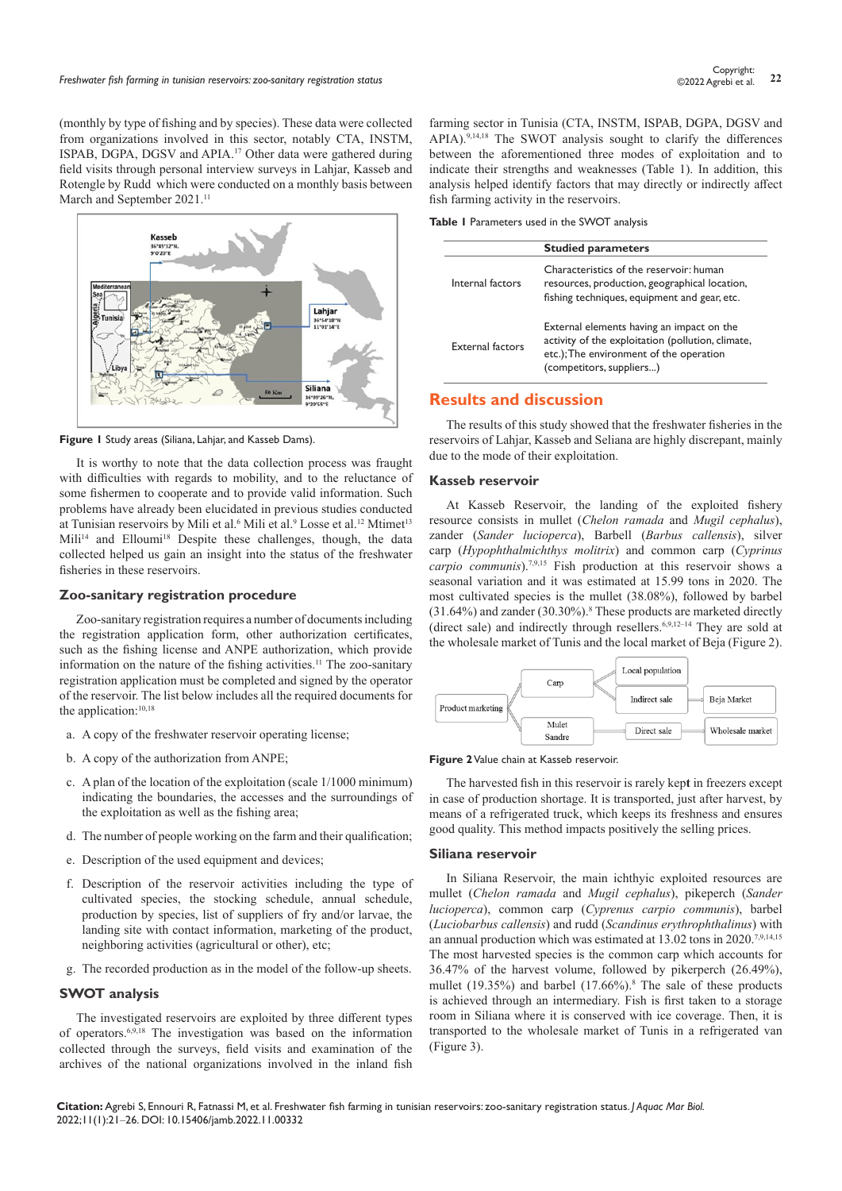(monthly by type of fishing and by species). These data were collected from organizations involved in this sector, notably CTA, INSTM, ISPAB, DGPA, DGSV and APIA.17 Other data were gathered during field visits through personal interview surveys in Lahjar, Kasseb and Rotengle by Rudd which were conducted on a monthly basis between March and September 2021.<sup>11</sup>



**Figure 1** Study areas (Siliana, Lahjar, and Kasseb Dams).

It is worthy to note that the data collection process was fraught with difficulties with regards to mobility, and to the reluctance of some fishermen to cooperate and to provide valid information. Such problems have already been elucidated in previous studies conducted at Tunisian reservoirs by Mili et al.<sup>6</sup> Mili et al.<sup>9</sup> Losse et al.<sup>12</sup> Mtimet<sup>13</sup> Mili<sup>14</sup> and Elloumi<sup>18</sup> Despite these challenges, though, the data collected helped us gain an insight into the status of the freshwater fisheries in these reservoirs.

#### **Zoo-sanitary registration procedure**

Zoo-sanitary registration requires a number of documents including the registration application form, other authorization certificates, such as the fishing license and ANPE authorization, which provide information on the nature of the fishing activities.11 The zoo-sanitary registration application must be completed and signed by the operator of the reservoir. The list below includes all the required documents for the application:<sup>10,18</sup>

- a. A copy of the freshwater reservoir operating license;
- b. A copy of the authorization from ANPE;
- c. A plan of the location of the exploitation (scale 1/1000 minimum) indicating the boundaries, the accesses and the surroundings of the exploitation as well as the fishing area;
- d. The number of people working on the farm and their qualification;
- e. Description of the used equipment and devices;
- f. Description of the reservoir activities including the type of cultivated species, the stocking schedule, annual schedule, production by species, list of suppliers of fry and/or larvae, the landing site with contact information, marketing of the product, neighboring activities (agricultural or other), etc;
- g. The recorded production as in the model of the follow-up sheets.

## **SWOT analysis**

The investigated reservoirs are exploited by three different types of operators.6,9,18 The investigation was based on the information collected through the surveys, field visits and examination of the archives of the national organizations involved in the inland fish

farming sector in Tunisia (CTA, INSTM, ISPAB, DGPA, DGSV and APIA).<sup>9,14,18</sup> The SWOT analysis sought to clarify the differences between the aforementioned three modes of exploitation and to indicate their strengths and weaknesses (Table 1). In addition, this analysis helped identify factors that may directly or indirectly affect fish farming activity in the reservoirs.

**Table 1** Parameters used in the SWOT analysis

|                         | <b>Studied parameters</b>                                                                                                                                             |
|-------------------------|-----------------------------------------------------------------------------------------------------------------------------------------------------------------------|
| Internal factors        | Characteristics of the reservoir: human<br>resources, production, geographical location,<br>fishing techniques, equipment and gear, etc.                              |
| <b>External factors</b> | External elements having an impact on the<br>activity of the exploitation (pollution, climate,<br>etc.); The environment of the operation<br>(competitors, suppliers) |

# **Results and discussion**

The results of this study showed that the freshwater fisheries in the reservoirs of Lahjar, Kasseb and Seliana are highly discrepant, mainly due to the mode of their exploitation.

#### **Kasseb reservoir**

At Kasseb Reservoir, the landing of the exploited fishery resource consists in mullet (*Chelon ramada* and *Mugil cephalus*), zander (*Sander lucioperca*), Barbell (*Barbus callensis*), silver carp (*Hypophthalmichthys molitrix*) and common carp (*Cyprinus carpio communis*).7,9,15 Fish production at this reservoir shows a seasonal variation and it was estimated at 15.99 tons in 2020. The most cultivated species is the mullet (38.08%), followed by barbel (31.64%) and zander (30.30%).8 These products are marketed directly (direct sale) and indirectly through resellers.<sup>6,9,12-14</sup> They are sold at the wholesale market of Tunis and the local market of Beja (Figure 2).



**Figure 2** Value chain at Kasseb reservoir.

The harvested fish in this reservoir is rarely kep**t** in freezers except in case of production shortage. It is transported, just after harvest, by means of a refrigerated truck, which keeps its freshness and ensures good quality. This method impacts positively the selling prices.

#### **Siliana reservoir**

In Siliana Reservoir, the main ichthyic exploited resources are mullet (*Chelon ramada* and *Mugil cephalus*), pikeperch (*Sander lucioperca*), common carp (*Cyprenus carpio communis*), barbel (*Luciobarbus callensis*) and rudd (*Scandinus erythrophthalinus*) with an annual production which was estimated at 13.02 tons in 2020.<sup>7,9,14,15</sup> The most harvested species is the common carp which accounts for 36.47% of the harvest volume, followed by pikerperch (26.49%), mullet (19.35%) and barbel (17.66%).<sup>8</sup> The sale of these products is achieved through an intermediary. Fish is first taken to a storage room in Siliana where it is conserved with ice coverage. Then, it is transported to the wholesale market of Tunis in a refrigerated van (Figure 3).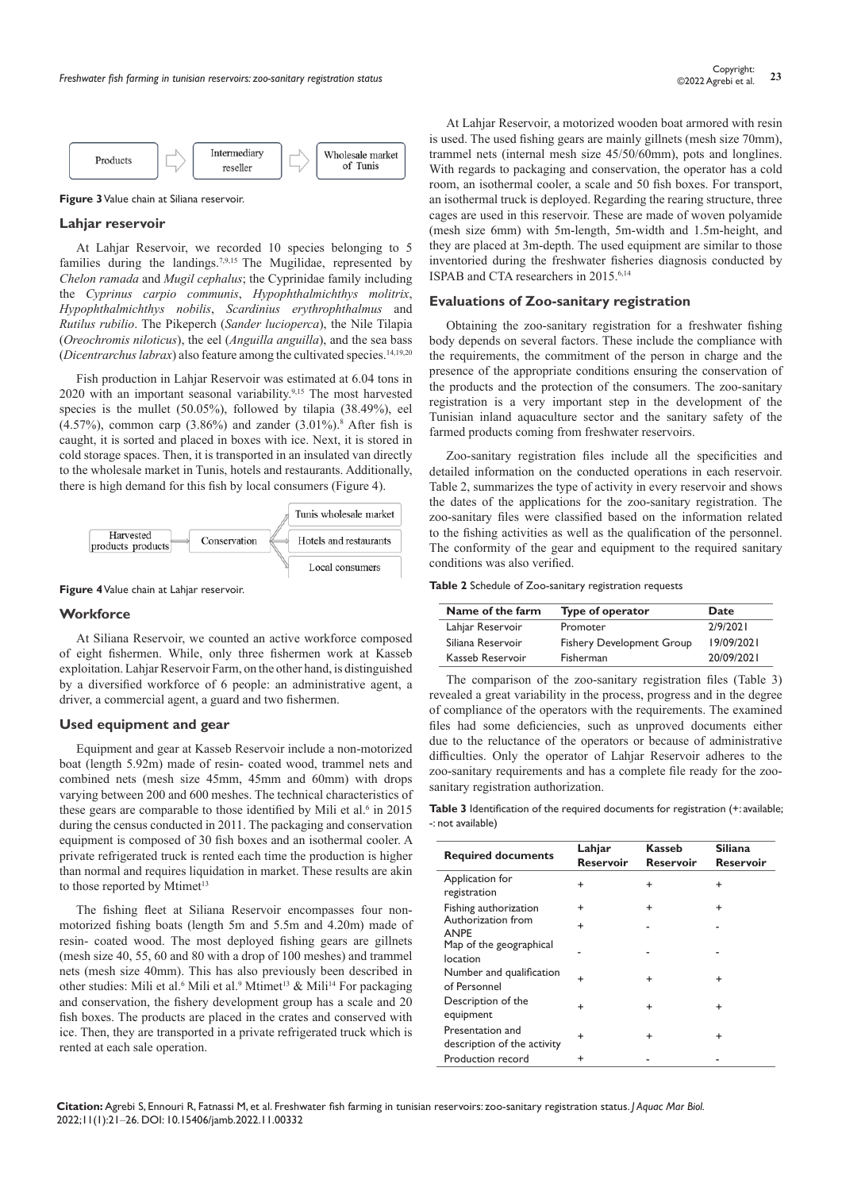

**Figure 3** Value chain at Siliana reservoir.

#### **Lahjar reservoir**

At Lahjar Reservoir, we recorded 10 species belonging to 5 families during the landings.7,9,15 The Mugilidae, represented by *Chelon ramada* and *Mugil cephalus*; the Cyprinidae family including the *Cyprinus carpio communis*, *Hypophthalmichthys molitrix*, *Hypophthalmichthys nobilis*, *Scardinius erythrophthalmus* and *Rutilus rubilio*. The Pikeperch (*Sander lucioperca*), the Nile Tilapia (*Oreochromis niloticus*), the eel (*Anguilla anguilla*), and the sea bass (*Dicentrarchus labrax*) also feature among the cultivated species.14,19,20

Fish production in Lahjar Reservoir was estimated at 6.04 tons in 2020 with an important seasonal variability.<sup>9,15</sup> The most harvested species is the mullet (50.05%), followed by tilapia (38.49%), eel  $(4.57%)$ , common carp  $(3.86%)$  and zander  $(3.01%)$ .<sup>8</sup> After fish is caught, it is sorted and placed in boxes with ice. Next, it is stored in cold storage spaces. Then, it is transported in an insulated van directly to the wholesale market in Tunis, hotels and restaurants. Additionally, there is high demand for this fish by local consumers (Figure 4).



**Figure 4** Value chain at Lahjar reservoir.

#### **Workforce**

At Siliana Reservoir, we counted an active workforce composed of eight fishermen. While, only three fishermen work at Kasseb exploitation. Lahjar Reservoir Farm, on the other hand, is distinguished by a diversified workforce of 6 people: an administrative agent, a driver, a commercial agent, a guard and two fishermen.

#### **Used equipment and gear**

Equipment and gear at Kasseb Reservoir include a non-motorized boat (length 5.92m) made of resin- coated wood, trammel nets and combined nets (mesh size 45mm, 45mm and 60mm) with drops varying between 200 and 600 meshes. The technical characteristics of these gears are comparable to those identified by Mili et al. $6$  in 2015 during the census conducted in 2011. The packaging and conservation equipment is composed of 30 fish boxes and an isothermal cooler. A private refrigerated truck is rented each time the production is higher than normal and requires liquidation in market. These results are akin to those reported by Mtimet<sup>13</sup>

The fishing fleet at Siliana Reservoir encompasses four nonmotorized fishing boats (length 5m and 5.5m and 4.20m) made of resin- coated wood. The most deployed fishing gears are gillnets (mesh size 40, 55, 60 and 80 with a drop of 100 meshes) and trammel nets (mesh size 40mm). This has also previously been described in other studies: Mili et al.<sup>6</sup> Mili et al.<sup>9</sup> Mtimet<sup>13</sup> & Mili<sup>14</sup> For packaging and conservation, the fishery development group has a scale and 20 fish boxes. The products are placed in the crates and conserved with ice. Then, they are transported in a private refrigerated truck which is rented at each sale operation.

At Lahjar Reservoir, a motorized wooden boat armored with resin is used. The used fishing gears are mainly gillnets (mesh size 70mm), trammel nets (internal mesh size 45/50/60mm), pots and longlines. With regards to packaging and conservation, the operator has a cold room, an isothermal cooler, a scale and 50 fish boxes. For transport, an isothermal truck is deployed. Regarding the rearing structure, three cages are used in this reservoir. These are made of woven polyamide (mesh size 6mm) with 5m-length, 5m-width and 1.5m-height, and they are placed at 3m-depth. The used equipment are similar to those inventoried during the freshwater fisheries diagnosis conducted by ISPAB and CTA researchers in 2015.6,14

#### **Evaluations of Zoo-sanitary registration**

Obtaining the zoo-sanitary registration for a freshwater fishing body depends on several factors. These include the compliance with the requirements, the commitment of the person in charge and the presence of the appropriate conditions ensuring the conservation of the products and the protection of the consumers. The zoo-sanitary registration is a very important step in the development of the Tunisian inland aquaculture sector and the sanitary safety of the farmed products coming from freshwater reservoirs.

Zoo-sanitary registration files include all the specificities and detailed information on the conducted operations in each reservoir. Table 2, summarizes the type of activity in every reservoir and shows the dates of the applications for the zoo-sanitary registration. The zoo-sanitary files were classified based on the information related to the fishing activities as well as the qualification of the personnel. The conformity of the gear and equipment to the required sanitary conditions was also verified.

#### **Table 2** Schedule of Zoo-sanitary registration requests

| Name of the farm  | Type of operator                 | Date       |
|-------------------|----------------------------------|------------|
| Lahjar Reservoir  | Promoter                         | 7/9/7071   |
| Siliana Reservoir | <b>Fishery Development Group</b> | 19/09/2021 |
| Kasseb Reservoir  | Fisherman                        | 20/09/2021 |

The comparison of the zoo-sanitary registration files (Table 3) revealed a great variability in the process, progress and in the degree of compliance of the operators with the requirements. The examined files had some deficiencies, such as unproved documents either due to the reluctance of the operators or because of administrative difficulties. Only the operator of Lahjar Reservoir adheres to the zoo-sanitary requirements and has a complete file ready for the zoosanitary registration authorization.

Table 3 Identification of the required documents for registration (+: available; -: not available)

| <b>Required documents</b>                       | Lahjar<br><b>Reservoir</b> | Kasseb<br><b>Reservoir</b> | <b>Siliana</b><br><b>Reservoir</b> |
|-------------------------------------------------|----------------------------|----------------------------|------------------------------------|
| Application for<br>registration                 | +                          | $\ddot{}$                  | $\ddot{}$                          |
| Fishing authorization                           | $\ddot{}$                  | $\ddot{}$                  | $\ddot{}$                          |
| Authorization from<br><b>ANPE</b>               | $\ddot{}$                  |                            |                                    |
| Map of the geographical<br>location             |                            |                            |                                    |
| Number and qualification<br>of Personnel        | ÷                          | $\ddot{}$                  | $\ddot{}$                          |
| Description of the<br>equipment                 | $\ddot{}$                  | $\ddot{}$                  | $\ddot{}$                          |
| Presentation and<br>description of the activity | $\ddot{}$                  | $\ddot{}$                  | $\ddot{}$                          |
| Production record                               | +                          |                            |                                    |

**Citation:** Agrebi S, Ennouri R, Fatnassi M, et al. Freshwater fish farming in tunisian reservoirs: zoo-sanitary registration status. *J Aquac Mar Biol.* 2022;11(1):21‒26. DOI: [10.15406/jamb.2022.11.00332](https://doi.org/10.15406/jamb.2022.11.00332)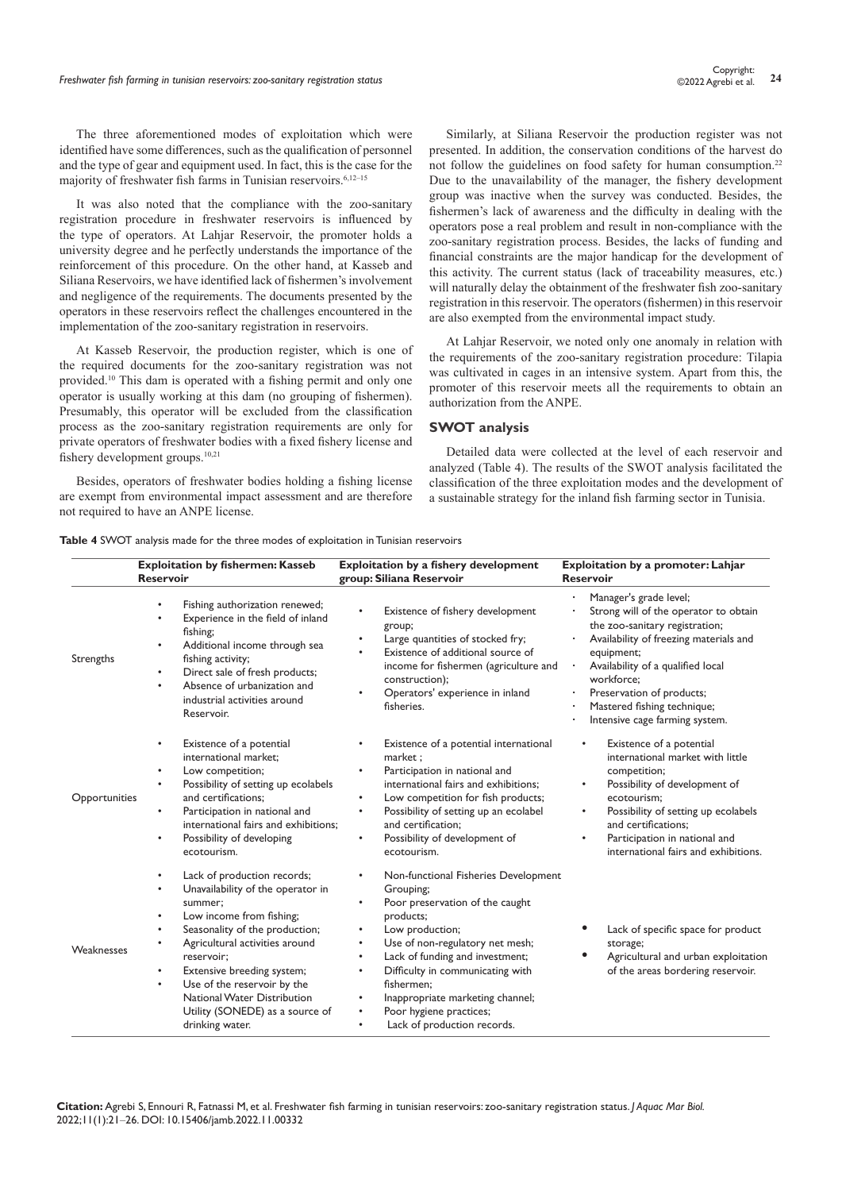The three aforementioned modes of exploitation which were identified have some differences, such as the qualification of personnel and the type of gear and equipment used. In fact, this is the case for the majority of freshwater fish farms in Tunisian reservoirs.<sup>6,12-15</sup>

It was also noted that the compliance with the zoo-sanitary registration procedure in freshwater reservoirs is influenced by the type of operators. At Lahjar Reservoir, the promoter holds a university degree and he perfectly understands the importance of the reinforcement of this procedure. On the other hand, at Kasseb and Siliana Reservoirs, we have identified lack of fishermen's involvement and negligence of the requirements. The documents presented by the operators in these reservoirs reflect the challenges encountered in the implementation of the zoo-sanitary registration in reservoirs.

At Kasseb Reservoir, the production register, which is one of the required documents for the zoo-sanitary registration was not provided.10 This dam is operated with a fishing permit and only one operator is usually working at this dam (no grouping of fishermen). Presumably, this operator will be excluded from the classification process as the zoo-sanitary registration requirements are only for private operators of freshwater bodies with a fixed fishery license and fishery development groups.10,21

Besides, operators of freshwater bodies holding a fishing license are exempt from environmental impact assessment and are therefore not required to have an ANPE license.

Similarly, at Siliana Reservoir the production register was not presented. In addition, the conservation conditions of the harvest do not follow the guidelines on food safety for human consumption.<sup>22</sup> Due to the unavailability of the manager, the fishery development group was inactive when the survey was conducted. Besides, the fishermen's lack of awareness and the difficulty in dealing with the operators pose a real problem and result in non-compliance with the zoo-sanitary registration process. Besides, the lacks of funding and financial constraints are the major handicap for the development of this activity. The current status (lack of traceability measures, etc.) will naturally delay the obtainment of the freshwater fish zoo-sanitary registration in this reservoir. The operators (fishermen) in this reservoir are also exempted from the environmental impact study.

At Lahjar Reservoir, we noted only one anomaly in relation with the requirements of the zoo-sanitary registration procedure: Tilapia was cultivated in cages in an intensive system. Apart from this, the promoter of this reservoir meets all the requirements to obtain an authorization from the ANPE.

### **SWOT analysis**

Detailed data were collected at the level of each reservoir and analyzed (Table 4). The results of the SWOT analysis facilitated the classification of the three exploitation modes and the development of a sustainable strategy for the inland fish farming sector in Tunisia.

| <b>Table 4 SWOT</b> analysis made for the three modes of exploitation in Tunisian reservoirs |  |  |  |  |  |  |
|----------------------------------------------------------------------------------------------|--|--|--|--|--|--|
|----------------------------------------------------------------------------------------------|--|--|--|--|--|--|

| <b>Exploitation by fishermen: Kasseb</b><br><b>Reservoir</b> |                                                                                                                                                                                                                                                                                                                                                                                                      | Exploitation by a fishery development<br>group: Siliana Reservoir                                                                                                                                                                                                                                                                                                                                                     | Exploitation by a promoter: Lahjar<br><b>Reservoir</b>                                                                                                                                                                                                                                                     |  |
|--------------------------------------------------------------|------------------------------------------------------------------------------------------------------------------------------------------------------------------------------------------------------------------------------------------------------------------------------------------------------------------------------------------------------------------------------------------------------|-----------------------------------------------------------------------------------------------------------------------------------------------------------------------------------------------------------------------------------------------------------------------------------------------------------------------------------------------------------------------------------------------------------------------|------------------------------------------------------------------------------------------------------------------------------------------------------------------------------------------------------------------------------------------------------------------------------------------------------------|--|
| Strengths                                                    | Fishing authorization renewed;<br>Experience in the field of inland<br>fishing;<br>Additional income through sea<br>$\bullet$<br>fishing activity;<br>Direct sale of fresh products;<br>$\bullet$<br>Absence of urbanization and<br>$\bullet$<br>industrial activities around<br>Reservoir.                                                                                                          | Existence of fishery development<br>group;<br>Large quantities of stocked fry;<br>$\bullet$<br>Existence of additional source of<br>$\bullet$<br>income for fishermen (agriculture and<br>construction);<br>Operators' experience in inland<br>fisheries.                                                                                                                                                             | Manager's grade level;<br>Strong will of the operator to obtain<br>the zoo-sanitary registration;<br>Availability of freezing materials and<br>equipment;<br>Availability of a qualified local<br>workforce;<br>Preservation of products;<br>Mastered fishing technique;<br>Intensive cage farming system. |  |
| Opportunities                                                | Existence of a potential<br>٠<br>international market:<br>Low competition;<br>٠<br>Possibility of setting up ecolabels<br>$\bullet$<br>and certifications;<br>Participation in national and<br>international fairs and exhibitions;<br>Possibility of developing<br>٠<br>ecotourism.                                                                                                                 | Existence of a potential international<br>market ;<br>Participation in national and<br>٠<br>international fairs and exhibitions:<br>Low competition for fish products;<br>$\bullet$<br>Possibility of setting up an ecolabel<br>and certification;<br>Possibility of development of<br>$\bullet$<br>ecotourism.                                                                                                       | Existence of a potential<br>international market with little<br>competition;<br>Possibility of development of<br>ecotourism;<br>Possibility of setting up ecolabels<br>and certifications;<br>Participation in national and<br>international fairs and exhibitions.                                        |  |
| Weaknesses                                                   | Lack of production records;<br>Unavailability of the operator in<br>$\bullet$<br>summer;<br>Low income from fishing;<br>$\bullet$<br>Seasonality of the production;<br>٠<br>Agricultural activities around<br>reservoir:<br>Extensive breeding system;<br>$\bullet$<br>Use of the reservoir by the<br>$\bullet$<br>National Water Distribution<br>Utility (SONEDE) as a source of<br>drinking water. | Non-functional Fisheries Development<br>Grouping;<br>Poor preservation of the caught<br>٠<br>products;<br>Low production;<br>$\bullet$<br>Use of non-regulatory net mesh;<br>٠<br>Lack of funding and investment;<br>$\bullet$<br>Difficulty in communicating with<br>$\bullet$<br>fishermen:<br>Inappropriate marketing channel;<br>Poor hygiene practices;<br>$\bullet$<br>Lack of production records.<br>$\bullet$ | Lack of specific space for product<br>storage;<br>Agricultural and urban exploitation<br>of the areas bordering reservoir.                                                                                                                                                                                 |  |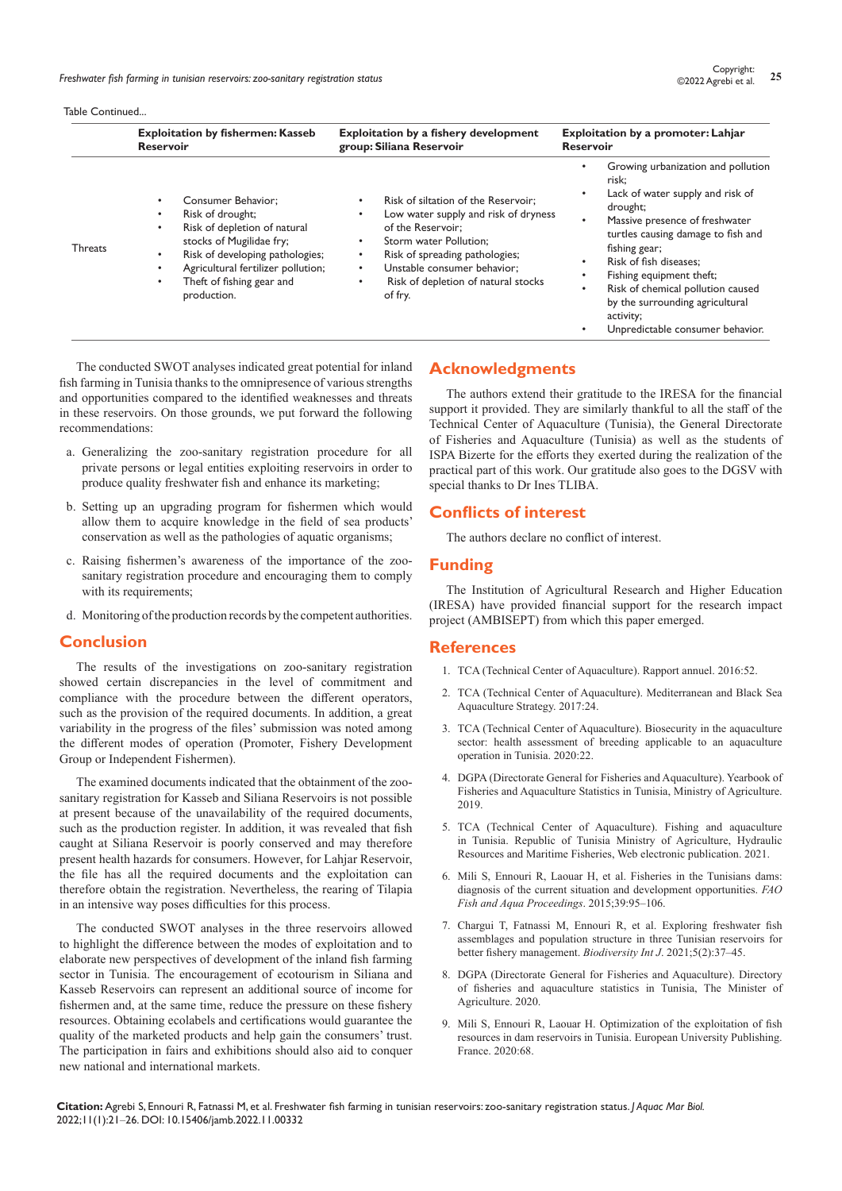*Freshwater fish farming in tunisian reservoirs: zoo-sanitary registration status* **<sup>25</sup>** Copyright:

Table Continued...

|                | <b>Exploitation by fishermen: Kasseb</b>                                                                                                                                                                                                                       | Exploitation by a fishery development                                                                                                                                                                                                                        | Exploitation by a promoter: Lahjar                                                                                                                                                                                                                                                                                                                                  |
|----------------|----------------------------------------------------------------------------------------------------------------------------------------------------------------------------------------------------------------------------------------------------------------|--------------------------------------------------------------------------------------------------------------------------------------------------------------------------------------------------------------------------------------------------------------|---------------------------------------------------------------------------------------------------------------------------------------------------------------------------------------------------------------------------------------------------------------------------------------------------------------------------------------------------------------------|
|                | <b>Reservoir</b>                                                                                                                                                                                                                                               | group: Siliana Reservoir                                                                                                                                                                                                                                     | <b>Reservoir</b>                                                                                                                                                                                                                                                                                                                                                    |
| <b>Threats</b> | Consumer Behavior:<br>Risk of drought;<br>Risk of depletion of natural<br>$\bullet$<br>stocks of Mugilidae fry;<br>Risk of developing pathologies;<br>$\bullet$<br>Agricultural fertilizer pollution;<br>Theft of fishing gear and<br>$\bullet$<br>production. | Risk of siltation of the Reservoir:<br>٠<br>Low water supply and risk of dryness<br>of the Reservoir:<br>Storm water Pollution:<br>Risk of spreading pathologies;<br>٠<br>Unstable consumer behavior:<br>٠<br>Risk of depletion of natural stocks<br>of fry. | Growing urbanization and pollution<br>risk;<br>Lack of water supply and risk of<br>drought;<br>Massive presence of freshwater<br>turtles causing damage to fish and<br>fishing gear;<br>Risk of fish diseases:<br>Fishing equipment theft;<br>Risk of chemical pollution caused<br>by the surrounding agricultural<br>activity;<br>Unpredictable consumer behavior. |

The conducted SWOT analyses indicated great potential for inland fish farming in Tunisia thanks to the omnipresence of various strengths and opportunities compared to the identified weaknesses and threats in these reservoirs. On those grounds, we put forward the following recommendations:

- a. Generalizing the zoo-sanitary registration procedure for all private persons or legal entities exploiting reservoirs in order to produce quality freshwater fish and enhance its marketing;
- b. Setting up an upgrading program for fishermen which would allow them to acquire knowledge in the field of sea products' conservation as well as the pathologies of aquatic organisms;
- c. Raising fishermen's awareness of the importance of the zoosanitary registration procedure and encouraging them to comply with its requirements;
- d. Monitoring of the production records by the competent authorities.

## **Conclusion**

The results of the investigations on zoo-sanitary registration showed certain discrepancies in the level of commitment and compliance with the procedure between the different operators, such as the provision of the required documents. In addition, a great variability in the progress of the files' submission was noted among the different modes of operation (Promoter, Fishery Development Group or Independent Fishermen).

The examined documents indicated that the obtainment of the zoosanitary registration for Kasseb and Siliana Reservoirs is not possible at present because of the unavailability of the required documents, such as the production register. In addition, it was revealed that fish caught at Siliana Reservoir is poorly conserved and may therefore present health hazards for consumers. However, for Lahjar Reservoir, the file has all the required documents and the exploitation can therefore obtain the registration. Nevertheless, the rearing of Tilapia in an intensive way poses difficulties for this process.

The conducted SWOT analyses in the three reservoirs allowed to highlight the difference between the modes of exploitation and to elaborate new perspectives of development of the inland fish farming sector in Tunisia. The encouragement of ecotourism in Siliana and Kasseb Reservoirs can represent an additional source of income for fishermen and, at the same time, reduce the pressure on these fishery resources. Obtaining ecolabels and certifications would guarantee the quality of the marketed products and help gain the consumers' trust. The participation in fairs and exhibitions should also aid to conquer new national and international markets.

# **Acknowledgments**

The authors extend their gratitude to the IRESA for the financial support it provided. They are similarly thankful to all the staff of the Technical Center of Aquaculture (Tunisia), the General Directorate of Fisheries and Aquaculture (Tunisia) as well as the students of ISPA Bizerte for the efforts they exerted during the realization of the practical part of this work. Our gratitude also goes to the DGSV with special thanks to Dr Ines TLIBA.

# **Conflicts of interest**

The authors declare no conflict of interest.

# **Funding**

The Institution of Agricultural Research and Higher Education (IRESA) have provided financial support for the research impact project (AMBISEPT) from which this paper emerged.

#### **References**

- 1. TCA (Technical Center of Aquaculture). Rapport annuel. 2016:52.
- 2. TCA (Technical Center of Aquaculture). Mediterranean and Black Sea Aquaculture Strategy. 2017:24.
- 3. TCA (Technical Center of Aquaculture). Biosecurity in the aquaculture sector: health assessment of breeding applicable to an aquaculture operation in Tunisia. 2020:22.
- 4. DGPA (Directorate General for Fisheries and Aquaculture). Yearbook of Fisheries and Aquaculture Statistics in Tunisia, Ministry of Agriculture. 2019.
- 5. TCA (Technical Center of Aquaculture). Fishing and aquaculture in Tunisia. Republic of Tunisia Ministry of Agriculture, Hydraulic Resources and Maritime Fisheries, Web electronic publication. 2021.
- 6. Mili S, Ennouri R, Laouar H, et al. Fisheries in the Tunisians dams: diagnosis of the current situation and development opportunities. *FAO Fish and Aqua Proceedings*. 2015;39:95–106.
- 7. [Chargui T, Fatnassi M, Ennouri R, et al. Exploring freshwater fish](https://medcraveonline.com/BIJ/BIJ-05-00196.pdf)  [assemblages and population structure in three Tunisian reservoirs for](https://medcraveonline.com/BIJ/BIJ-05-00196.pdf)  [better fishery management.](https://medcraveonline.com/BIJ/BIJ-05-00196.pdf) *Biodiversity Int J.* 2021;5(2):37-45.
- 8. [DGPA \(Directorate General for Fisheries and Aquaculture\). Directory](http://www.clubartisanal.eu/Fr/partenaires_7_234_D16)  [of fisheries and aquaculture statistics in Tunisia, The Minister of](http://www.clubartisanal.eu/Fr/partenaires_7_234_D16)  [Agriculture. 2020.](http://www.clubartisanal.eu/Fr/partenaires_7_234_D16)
- 9. Mili S, Ennouri R, Laouar H. Optimization of the exploitation of fish resources in dam reservoirs in Tunisia. European University Publishing. France. 2020:68.

**Citation:** Agrebi S, Ennouri R, Fatnassi M, et al. Freshwater fish farming in tunisian reservoirs: zoo-sanitary registration status. *J Aquac Mar Biol.* 2022;11(1):21‒26. DOI: [10.15406/jamb.2022.11.00332](https://doi.org/10.15406/jamb.2022.11.00332)